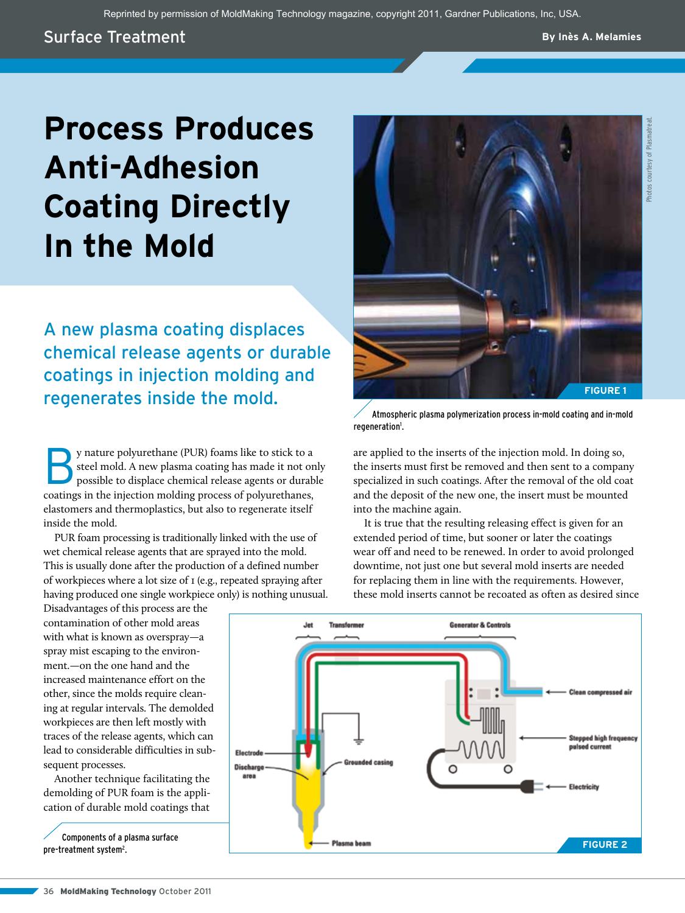Reprinted by permission of MoldMaking Technology magazine, copyright 2011, Gardner Publications, Inc, USA.

## Surface Treatment

**By Inès A. Melamies**

# **Process Produces Anti-Adhesion Coating Directly In the Mold**

A new plasma coating displaces chemical release agents or durable coatings in injection molding and regenerates inside the mold.

By nature polyurethane (PUR) foams like to stick to a steel mold. A new plasma coating has made it not only possible to displace chemical release agents or durable coatings in the injection molding process of polyurethanes, elastomers and thermoplastics, but also to regenerate itself inside the mold.

PUR foam processing is traditionally linked with the use of wet chemical release agents that are sprayed into the mold. This is usually done after the production of a defined number of workpieces where a lot size of 1 (e.g., repeated spraying after having produced one single workpiece only) is nothing unusual.

Disadvantages of this process are the contamination of other mold areas with what is known as overspray—a spray mist escaping to the environment.—on the one hand and the increased maintenance effort on the other, since the molds require cleaning at regular intervals. The demolded workpieces are then left mostly with traces of the release agents, which can lead to considerable difficulties in subsequent processes.

Another technique facilitating the demolding of PUR foam is the application of durable mold coatings that

pre-treatment system<sup>2</sup>.



are applied to the inserts of the injection mold. In doing so, the inserts must first be removed and then sent to a company specialized in such coatings. After the removal of the old coat and the deposit of the new one, the insert must be mounted into the machine again.

It is true that the resulting releasing effect is given for an extended period of time, but sooner or later the coatings wear off and need to be renewed. In order to avoid prolonged downtime, not just one but several mold inserts are needed for replacing them in line with the requirements. However, these mold inserts cannot be recoated as often as desired since